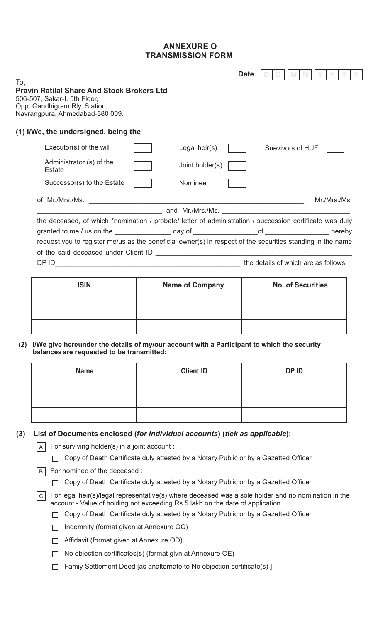# **TRANSMISSION FORM ANNEXURE O**

|     |                                                                                                                                                                                                                        |                        | <b>Date</b>              |  |  |
|-----|------------------------------------------------------------------------------------------------------------------------------------------------------------------------------------------------------------------------|------------------------|--------------------------|--|--|
| To, | <b>Pravin Ratilal Share And Stock Brokers Ltd</b><br>506-507, Sakar-I, 5th Floor,<br>Opp. Gandhigram Rly. Station,<br>Navrangpura, Ahmedabad-380 009.                                                                  |                        |                          |  |  |
|     | (1) I/We, the undersigned, being the                                                                                                                                                                                   |                        |                          |  |  |
|     | Executor(s) of the will                                                                                                                                                                                                | Legal heir(s)          | Suevivors of HUF         |  |  |
|     | Administrator (s) of the<br>Estate                                                                                                                                                                                     | Joint holder(s)        |                          |  |  |
|     | Successor(s) to the Estate                                                                                                                                                                                             | Nominee                |                          |  |  |
|     |                                                                                                                                                                                                                        |                        | Mr./Mrs./Ms.             |  |  |
|     | the deceased, of which *nomination / probate/ letter of administration / succession certificate was duly<br>request you to register me/us as the beneficial owner(s) in respect of the securities standing in the name |                        |                          |  |  |
|     |                                                                                                                                                                                                                        |                        |                          |  |  |
|     | <b>ISIN</b>                                                                                                                                                                                                            | <b>Name of Company</b> | <b>No. of Securities</b> |  |  |
|     |                                                                                                                                                                                                                        |                        |                          |  |  |
| (2) | I/We give hereunder the details of my/our account with a Participant to which the security                                                                                                                             |                        |                          |  |  |
|     | <b>Name</b>                                                                                                                                                                                                            | <b>Client ID</b>       | <b>DPID</b>              |  |  |
|     |                                                                                                                                                                                                                        |                        |                          |  |  |

| <b>Name</b> | <b>Client ID</b> | DP ID |
|-------------|------------------|-------|
|             |                  |       |
|             |                  |       |
|             |                  |       |

## (3) List of Documents enclosed (for Individual accounts) (tick as applicable):

 $\boxed{A}$  For surviving holder(s) in a joint account :

□ Copy of Death Certificate duly attested by a Notary Public or by a Gazetted Officer.

B For nominee of the deceased :

Copy of Death Certificate duly attested by a Notary Public or by a Gazetted Officer.

For legal heir(s)/legal representative(s) where deceased was a sole holder and no nomination in the C account - Value of holding not exceeding Rs.5 lakh on the date of application

- □ Copy of Death Certificate duly attested by a Notary Public or by a Gazetted Officer.
- $\Box$  Indemnity (format given at Annexure OC)
- □ Affidavit (format given at Annexure OD)
- $\Box$  No objection certificates(s) (format givn at Annexure OE)
- $\Box$  Famiy Settlement Deed [as analternate to No objection certificate(s)]